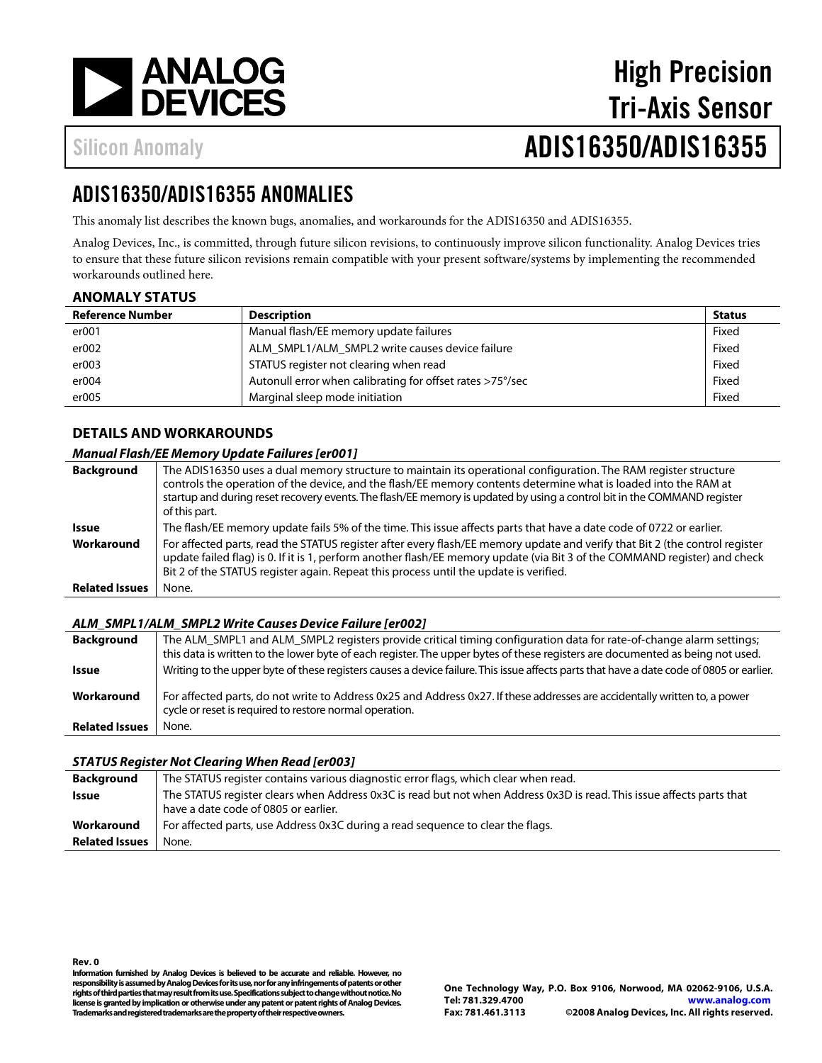

# High Precision Tri-Axis Sensor Silicon Anomaly **ADIS16350/ADIS16355**

# ADIS16350/ADIS16355 ANOMALIES

This anomaly list describes the known bugs, anomalies, and workarounds for the ADIS16350 and ADIS16355.

Analog Devices, Inc., is committed, through future silicon revisions, to continuously improve silicon functionality. Analog Devices tries to ensure that these future silicon revisions remain compatible with your present software/systems by implementing the recommended workarounds outlined here.

## **ANOMALY STATUS**

| <b>Reference Number</b> | <b>Description</b>                                        | <b>Status</b> |
|-------------------------|-----------------------------------------------------------|---------------|
| er001                   | Manual flash/EE memory update failures                    | Fixed         |
| er002                   | ALM SMPL1/ALM SMPL2 write causes device failure           | Fixed         |
| er003                   | STATUS register not clearing when read                    | Fixed         |
| er004                   | Autonull error when calibrating for offset rates >75°/sec | Fixed         |
| er005                   | Marginal sleep mode initiation                            | Fixed         |

## **DETAILS AND WORKAROUNDS**

#### **Manual Flash/EE Memory Update Failures [er001]**

| <b>Background</b>     | The ADIS16350 uses a dual memory structure to maintain its operational configuration. The RAM register structure<br>controls the operation of the device, and the flash/EE memory contents determine what is loaded into the RAM at<br>startup and during reset recovery events. The flash/EE memory is updated by using a control bit in the COMMAND register<br>of this part. |
|-----------------------|---------------------------------------------------------------------------------------------------------------------------------------------------------------------------------------------------------------------------------------------------------------------------------------------------------------------------------------------------------------------------------|
| Issue                 | The flash/EE memory update fails 5% of the time. This issue affects parts that have a date code of 0722 or earlier.                                                                                                                                                                                                                                                             |
| Workaround            | For affected parts, read the STATUS register after every flash/EE memory update and verify that Bit 2 (the control register<br>update failed flag) is 0. If it is 1, perform another flash/EE memory update (via Bit 3 of the COMMAND register) and check<br>Bit 2 of the STATUS register again. Repeat this process until the update is verified.                              |
| <b>Related Issues</b> | None.                                                                                                                                                                                                                                                                                                                                                                           |

#### **ALM\_SMPL1/ALM\_SMPL2 Write Causes Device Failure [er002]**

| <b>Background</b>     | The ALM SMPL1 and ALM SMPL2 registers provide critical timing configuration data for rate-of-change alarm settings;                                                                   |
|-----------------------|---------------------------------------------------------------------------------------------------------------------------------------------------------------------------------------|
|                       | this data is written to the lower byte of each register. The upper bytes of these registers are documented as being not used.                                                         |
| <b>Issue</b>          | Writing to the upper byte of these registers causes a device failure. This issue affects parts that have a date code of 0805 or earlier.                                              |
| Workaround            | For affected parts, do not write to Address 0x25 and Address 0x27. If these addresses are accidentally written to, a power<br>cycle or reset is required to restore normal operation. |
| <b>Related Issues</b> | None.                                                                                                                                                                                 |

#### **STATUS Register Not Clearing When Read [er003]**

| <b>Background</b>     | The STATUS register contains various diagnostic error flags, which clear when read.                                                                           |
|-----------------------|---------------------------------------------------------------------------------------------------------------------------------------------------------------|
| Issue                 | The STATUS register clears when Address 0x3C is read but not when Address 0x3D is read. This issue affects parts that<br>have a date code of 0805 or earlier. |
| Workaround            | For affected parts, use Address 0x3C during a read sequence to clear the flags.                                                                               |
| <b>Related Issues</b> | None.                                                                                                                                                         |

**Rev. 0 Information furnished by Analog Devices is believed to be accurate and reliable. However, no responsibility is assumed by Analog Devices for its use, nor for any infringements of patents or other rights of third parties that may result from its use. Specifications subject to change without notice. No license is granted by implication or otherwise under any patent or patent rights of Analog Devices. Trademarks and registered trademarks are the property of their respective owners.**